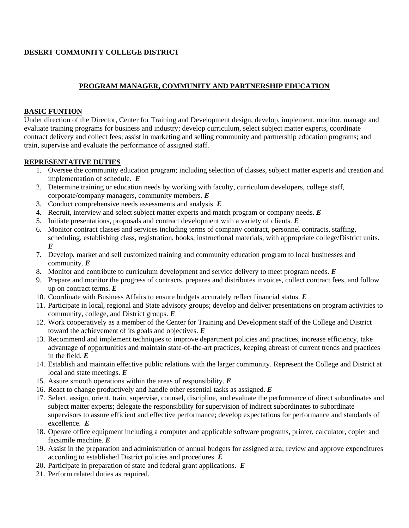# **DESERT COMMUNITY COLLEGE DISTRICT**

# **PROGRAM MANAGER, COMMUNITY AND PARTNERSHIP EDUCATION**

### **BASIC FUNTION**

Under direction of the Director, Center for Training and Development design, develop, implement, monitor, manage and evaluate training programs for business and industry; develop curriculum, select subject matter experts, coordinate contract delivery and collect fees; assist in marketing and selling community and partnership education programs; and train, supervise and evaluate the performance of assigned staff.

### **REPRESENTATIVE DUTIES**

- 1. Oversee the community education program; including selection of classes, subject matter experts and creation and implementation of schedule. *E*
- 2. Determine training or education needs by working with faculty, curriculum developers, college staff, corporate/company managers, community members. *E*
- 3. Conduct comprehensive needs assessments and analysis. *E*
- 4. Recruit, interview and select subject matter experts and match program or company needs. *E*
- 5. Initiate presentations, proposals and contract development with a variety of clients. *E*
- 6. Monitor contract classes and services including terms of company contract, personnel contracts, staffing, scheduling, establishing class, registration, books, instructional materials, with appropriate college/District units. *E*
- 7. Develop, market and sell customized training and community education program to local businesses and community. *E*
- 8. Monitor and contribute to curriculum development and service delivery to meet program needs. *E*
- 9. Prepare and monitor the progress of contracts, prepares and distributes invoices, collect contract fees, and follow up on contract terms. *E*
- 10. Coordinate with Business Affairs to ensure budgets accurately reflect financial status. *E*
- 11. Participate in local, regional and State advisory groups; develop and deliver presentations on program activities to community, college, and District groups. *E*
- 12. Work cooperatively as a member of the Center for Training and Development staff of the College and District toward the achievement of its goals and objectives. *E*
- 13. Recommend and implement techniques to improve department policies and practices, increase efficiency, take advantage of opportunities and maintain state-of-the-art practices, keeping abreast of current trends and practices in the field. *E*
- 14. Establish and maintain effective public relations with the larger community. Represent the College and District at local and state meetings. *E*
- 15. Assure smooth operations within the areas of responsibility. *E*
- 16. React to change productively and handle other essential tasks as assigned. *E*
- 17. Select, assign, orient, train, supervise, counsel, discipline, and evaluate the performance of direct subordinates and subject matter experts; delegate the responsibility for supervision of indirect subordinates to subordinate supervisors to assure efficient and effective performance; develop expectations for performance and standards of excellence. *E*
- 18. Operate office equipment including a computer and applicable software programs, printer, calculator, copier and facsimile machine. *E*
- 19. Assist in the preparation and administration of annual budgets for assigned area; review and approve expenditures according to established District policies and procedures. *E*
- 20. Participate in preparation of state and federal grant applications. *E*
- 21. Perform related duties as required.